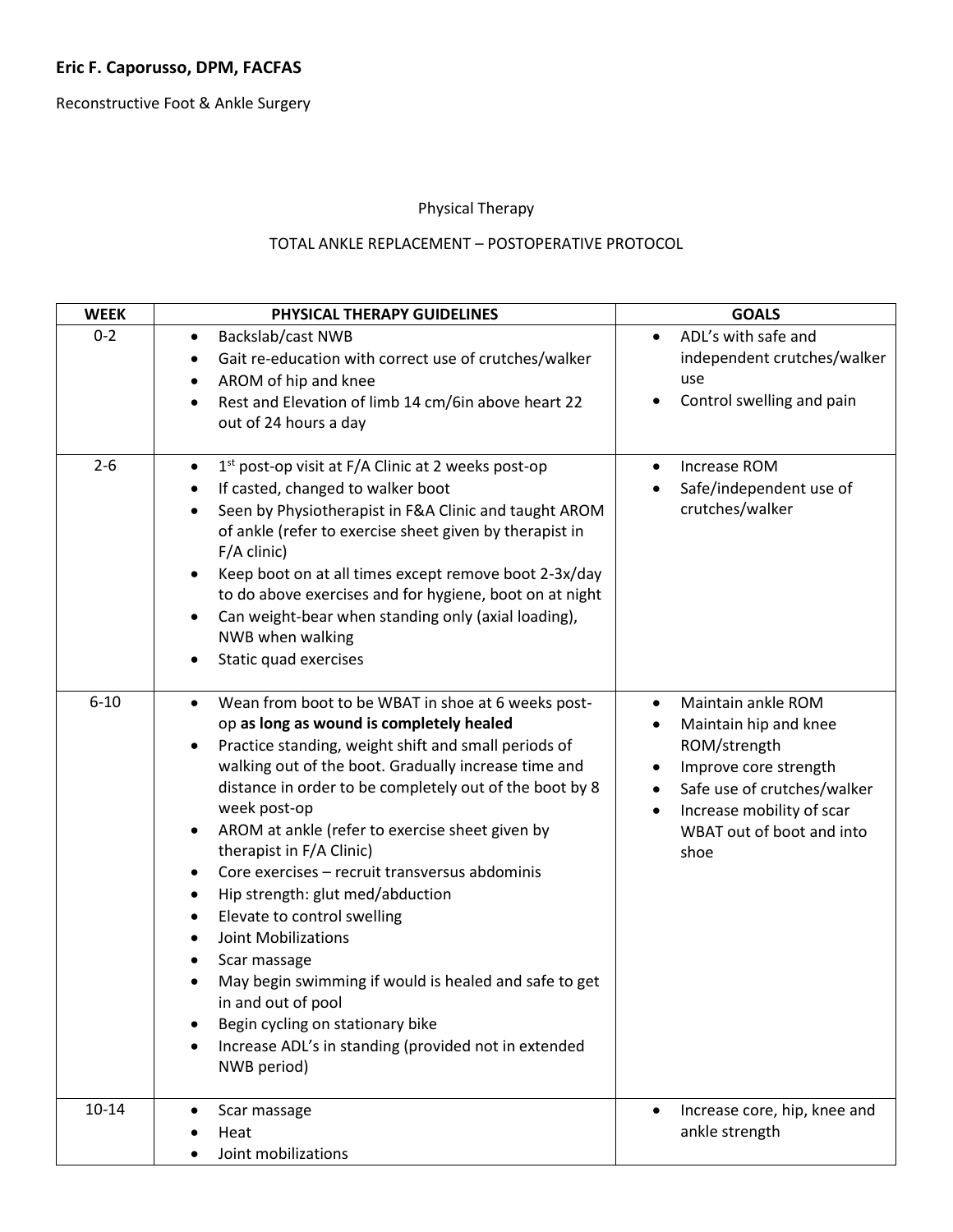Reconstructive Foot & Ankle Surgery

# Physical Therapy

## TOTAL ANKLE REPLACEMENT – POSTOPERATIVE PROTOCOL

| <b>WEEK</b> | PHYSICAL THERAPY GUIDELINES                                                                                                                                                                                                                                                                                                                                                                                                                                                                                                                                                                                                                                                                                                                                                                                                                                          | <b>GOALS</b>                                                                                                                                                                                            |
|-------------|----------------------------------------------------------------------------------------------------------------------------------------------------------------------------------------------------------------------------------------------------------------------------------------------------------------------------------------------------------------------------------------------------------------------------------------------------------------------------------------------------------------------------------------------------------------------------------------------------------------------------------------------------------------------------------------------------------------------------------------------------------------------------------------------------------------------------------------------------------------------|---------------------------------------------------------------------------------------------------------------------------------------------------------------------------------------------------------|
| $0 - 2$     | Backslab/cast NWB<br>$\bullet$<br>Gait re-education with correct use of crutches/walker<br>$\bullet$<br>AROM of hip and knee<br>$\bullet$<br>Rest and Elevation of limb 14 cm/6in above heart 22<br>$\bullet$<br>out of 24 hours a day                                                                                                                                                                                                                                                                                                                                                                                                                                                                                                                                                                                                                               | ADL's with safe and<br>$\bullet$<br>independent crutches/walker<br>use<br>Control swelling and pain                                                                                                     |
| $2 - 6$     | 1 <sup>st</sup> post-op visit at F/A Clinic at 2 weeks post-op<br>$\bullet$<br>If casted, changed to walker boot<br>$\bullet$<br>Seen by Physiotherapist in F&A Clinic and taught AROM<br>$\bullet$<br>of ankle (refer to exercise sheet given by therapist in<br>$F/A$ clinic)<br>Keep boot on at all times except remove boot 2-3x/day<br>$\bullet$<br>to do above exercises and for hygiene, boot on at night<br>Can weight-bear when standing only (axial loading),<br>$\bullet$<br>NWB when walking<br>Static quad exercises<br>$\bullet$                                                                                                                                                                                                                                                                                                                       | Increase ROM<br>Safe/independent use of<br>crutches/walker                                                                                                                                              |
| $6 - 10$    | Wean from boot to be WBAT in shoe at 6 weeks post-<br>$\bullet$<br>op as long as wound is completely healed<br>Practice standing, weight shift and small periods of<br>$\bullet$<br>walking out of the boot. Gradually increase time and<br>distance in order to be completely out of the boot by 8<br>week post-op<br>AROM at ankle (refer to exercise sheet given by<br>$\bullet$<br>therapist in F/A Clinic)<br>Core exercises - recruit transversus abdominis<br>$\bullet$<br>Hip strength: glut med/abduction<br>$\bullet$<br>Elevate to control swelling<br>$\bullet$<br><b>Joint Mobilizations</b><br>$\bullet$<br>Scar massage<br>٠<br>May begin swimming if would is healed and safe to get<br>$\bullet$<br>in and out of pool<br>Begin cycling on stationary bike<br>٠<br>Increase ADL's in standing (provided not in extended<br>$\bullet$<br>NWB period) | Maintain ankle ROM<br>٠<br>Maintain hip and knee<br>ROM/strength<br>Improve core strength<br>Safe use of crutches/walker<br>$\bullet$<br>Increase mobility of scar<br>WBAT out of boot and into<br>shoe |
| $10 - 14$   | Scar massage<br>٠<br>Heat<br>Joint mobilizations                                                                                                                                                                                                                                                                                                                                                                                                                                                                                                                                                                                                                                                                                                                                                                                                                     | Increase core, hip, knee and<br>ankle strength                                                                                                                                                          |